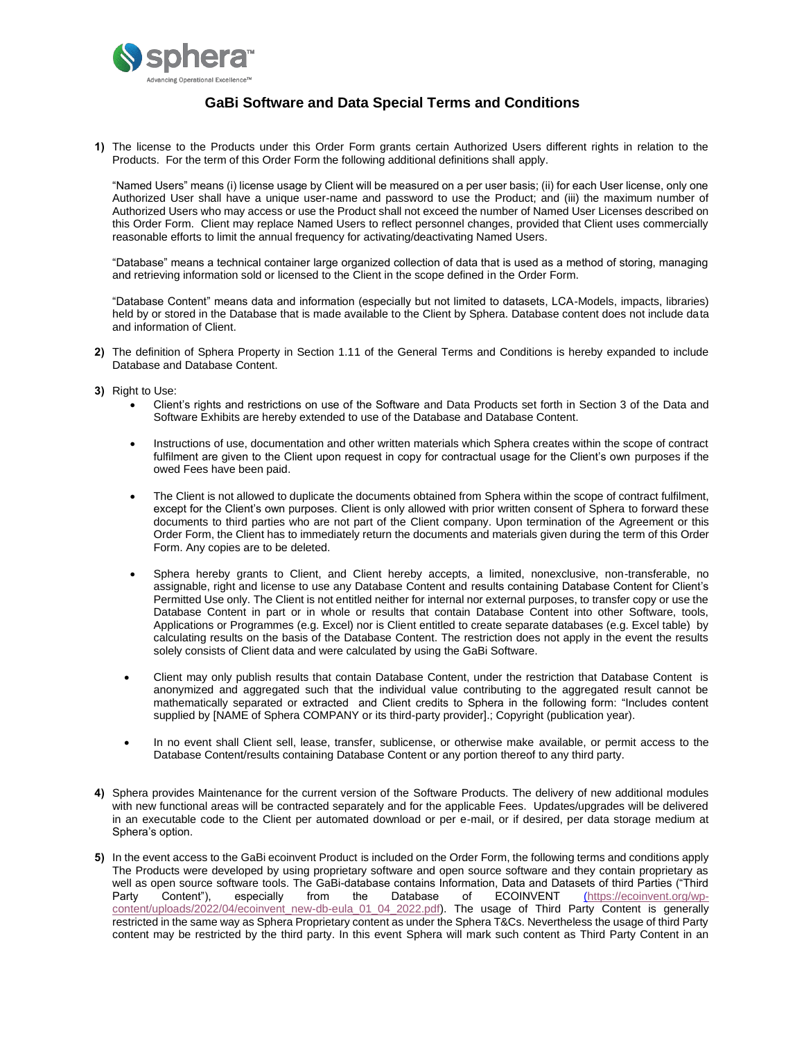

## **GaBi Software and Data Special Terms and Conditions**

**1)** The license to the Products under this Order Form grants certain Authorized Users different rights in relation to the Products. For the term of this Order Form the following additional definitions shall apply.

"Named Users" means (i) license usage by Client will be measured on a per user basis; (ii) for each User license, only one Authorized User shall have a unique user-name and password to use the Product; and (iii) the maximum number of Authorized Users who may access or use the Product shall not exceed the number of Named User Licenses described on this Order Form. Client may replace Named Users to reflect personnel changes, provided that Client uses commercially reasonable efforts to limit the annual frequency for activating/deactivating Named Users.

"Database" means a technical container large organized collection of data that is used as a method of storing, managing and retrieving information sold or licensed to the Client in the scope defined in the Order Form.

"Database Content" means data and information (especially but not limited to datasets, LCA-Models, impacts, libraries) held by or stored in the Database that is made available to the Client by Sphera. Database content does not include data and information of Client.

- **2)** The definition of Sphera Property in Section 1.11 of the General Terms and Conditions is hereby expanded to include Database and Database Content.
- **3)** Right to Use:
	- Client's rights and restrictions on use of the Software and Data Products set forth in Section 3 of the Data and Software Exhibits are hereby extended to use of the Database and Database Content.
	- Instructions of use, documentation and other written materials which Sphera creates within the scope of contract fulfilment are given to the Client upon request in copy for contractual usage for the Client's own purposes if the owed Fees have been paid.
	- The Client is not allowed to duplicate the documents obtained from Sphera within the scope of contract fulfilment, except for the Client's own purposes. Client is only allowed with prior written consent of Sphera to forward these documents to third parties who are not part of the Client company. Upon termination of the Agreement or this Order Form, the Client has to immediately return the documents and materials given during the term of this Order Form. Any copies are to be deleted.
	- Sphera hereby grants to Client, and Client hereby accepts, a limited, nonexclusive, non-transferable, no assignable, right and license to use any Database Content and results containing Database Content for Client's Permitted Use only. The Client is not entitled neither for internal nor external purposes, to transfer copy or use the Database Content in part or in whole or results that contain Database Content into other Software, tools, Applications or Programmes (e.g. Excel) nor is Client entitled to create separate databases (e.g. Excel table) by calculating results on the basis of the Database Content. The restriction does not apply in the event the results solely consists of Client data and were calculated by using the GaBi Software.
	- Client may only publish results that contain Database Content, under the restriction that Database Content is anonymized and aggregated such that the individual value contributing to the aggregated result cannot be mathematically separated or extracted and Client credits to Sphera in the following form: "Includes content supplied by [NAME of Sphera COMPANY or its third-party provider].; Copyright (publication year).
	- In no event shall Client sell, lease, transfer, sublicense, or otherwise make available, or permit access to the Database Content/results containing Database Content or any portion thereof to any third party.
- **4)** Sphera provides Maintenance for the current version of the Software Products. The delivery of new additional modules with new functional areas will be contracted separately and for the applicable Fees. Updates/upgrades will be delivered in an executable code to the Client per automated download or per e-mail, or if desired, per data storage medium at Sphera's option.
- **5)** In the event access to the GaBi ecoinvent Product is included on the Order Form, the following terms and conditions apply The Products were developed by using proprietary software and open source software and they contain proprietary as well as open source software tools. The GaBi-database contains Information, Data and Datasets of third Parties ("Third Party Content"), especially from the Database of ECOINVENT [\(](file:///C:/Users/jchristy/Documents/OERM%20Contracts/Contract%20Templates/Final%20Templates/US%20ROW/Files%20for%20Link%20to%20Fast%20Track/()[https://ecoinvent.org/wp](https://ecoinvent.org/wp-content/uploads/2022/04/ecoinvent_new-db-eula_01_04_2022.pdf)[content/uploads/2022/04/ecoinvent\\_new-db-eula\\_01\\_04\\_2022.pdf\)](https://ecoinvent.org/wp-content/uploads/2022/04/ecoinvent_new-db-eula_01_04_2022.pdf). The usage of Third Party Content is generally restricted in the same way as Sphera Proprietary content as under the Sphera T&Cs. Nevertheless the usage of third Party content may be restricted by the third party. In this event Sphera will mark such content as Third Party Content in an